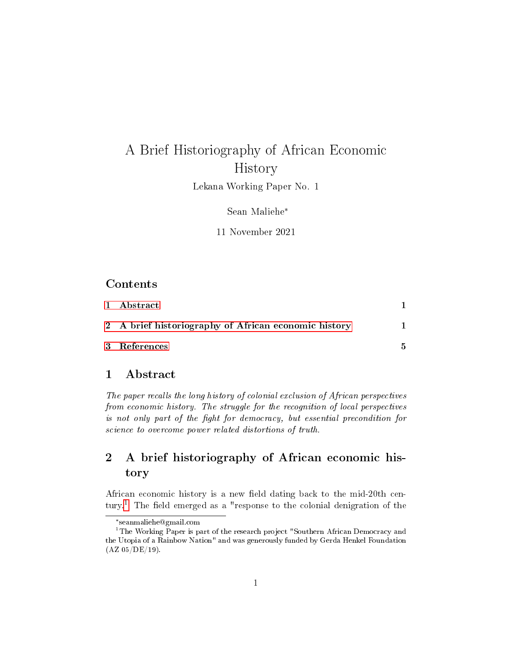# A Brief Historiography of African Economic History

Lekana Working Paper No. 1

Sean Maliehe\*

11 November 2021

#### Contents

| 1 Abstract                                           |   |
|------------------------------------------------------|---|
| 2 A brief historiography of African economic history |   |
| 3 References                                         | 5 |

### <span id="page-0-0"></span>1 Abstract

The paper recalls the long history of colonial exclusion of African perspectives from economic history. The struggle for the recognition of local perspectives is not only part of the fight for democracy, but essential precondition for science to overcome power related distortions of truth.

## <span id="page-0-1"></span>2 A brief historiography of African economic history

African economic history is a new field dating back to the mid-20th cen-tury.<sup>[1](#page-0-2)</sup> The field emerged as a "response to the colonial denigration of the

<span id="page-0-2"></span><sup>\*</sup> seanmaliehe@gmail.com

<sup>&</sup>lt;sup>1</sup>The Working Paper is part of the research project "Southern African Democracy and the Utopia of a Rainbow Nation" and was generously funded by Gerda Henkel Foundation (AZ 05/DE/19).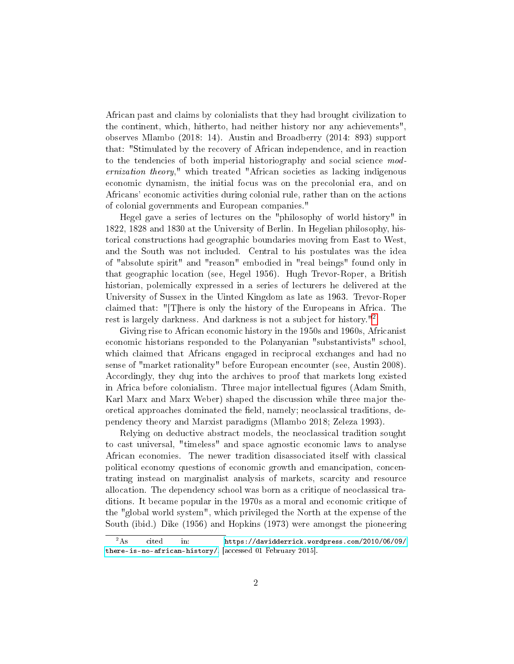African past and claims by colonialists that they had brought civilization to the continent, which, hitherto, had neither history nor any achievements", observes Mlambo (2018: 14). Austin and Broadberry (2014: 893) support that: "Stimulated by the recovery of African independence, and in reaction to the tendencies of both imperial historiography and social science modernization theory," which treated "African societies as lacking indigenous economic dynamism, the initial focus was on the precolonial era, and on Africans' economic activities during colonial rule, rather than on the actions of colonial governments and European companies."

Hegel gave a series of lectures on the "philosophy of world history" in 1822, 1828 and 1830 at the University of Berlin. In Hegelian philosophy, historical constructions had geographic boundaries moving from East to West, and the South was not included. Central to his postulates was the idea of "absolute spirit" and "reason" embodied in "real beings" found only in that geographic location (see, Hegel 1956). Hugh Trevor-Roper, a British historian, polemically expressed in a series of lecturers he delivered at the University of Sussex in the Uinted Kingdom as late as 1963. Trevor-Roper claimed that: "[T]here is only the history of the Europeans in Africa. The rest is largely darkness. And darkness is not a subject for history."[2](#page-1-0)

Giving rise to African economic history in the 1950s and 1960s, Africanist economic historians responded to the Polanyanian "substantivists" school, which claimed that Africans engaged in reciprocal exchanges and had no sense of "market rationality" before European encounter (see, Austin 2008). Accordingly, they dug into the archives to proof that markets long existed in Africa before colonialism. Three major intellectual figures (Adam Smith, Karl Marx and Marx Weber) shaped the discussion while three major theoretical approaches dominated the field, namely; neoclassical traditions, dependency theory and Marxist paradigms (Mlambo 2018; Zeleza 1993).

Relying on deductive abstract models, the neoclassical tradition sought to cast universal, "timeless" and space agnostic economic laws to analyse African economies. The newer tradition disassociated itself with classical political economy questions of economic growth and emancipation, concentrating instead on marginalist analysis of markets, scarcity and resource allocation. The dependency school was born as a critique of neoclassical traditions. It became popular in the 1970s as a moral and economic critique of the "global world system", which privileged the North at the expense of the South (ibid.) Dike (1956) and Hopkins (1973) were amongst the pioneering

<span id="page-1-0"></span> ${}^{2}$ As cited in: [https://davidderrick.wordpress.com/2010/06/09/](https://davidderrick.wordpress.com/2010/06/09/there-is-no-african-history/) [there-is-no-african-history/,](https://davidderrick.wordpress.com/2010/06/09/there-is-no-african-history/) [accessed 01 February 2015].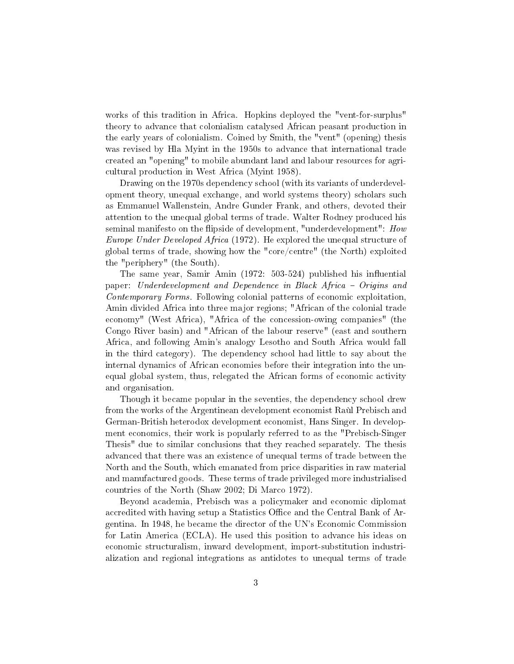works of this tradition in Africa. Hopkins deployed the "vent-for-surplus" theory to advance that colonialism catalysed African peasant production in the early years of colonialism. Coined by Smith, the "vent" (opening) thesis was revised by Hla Myint in the 1950s to advance that international trade created an "opening" to mobile abundant land and labour resources for agricultural production in West Africa (Myint 1958).

Drawing on the 1970s dependency school (with its variants of underdevelopment theory, unequal exchange, and world systems theory) scholars such as Emmanuel Wallenstein, Andre Gunder Frank, and others, devoted their attention to the unequal global terms of trade. Walter Rodney produced his seminal manifesto on the flipside of development, "underdevelopment": How Europe Under Developed Africa (1972). He explored the unequal structure of global terms of trade, showing how the "core/centre" (the North) exploited the "periphery" (the South).

The same year, Samir Amin  $(1972: 503-524)$  published his influential paper: Underdevelopment and Dependence in Black Africa - Origins and Contemporary Forms. Following colonial patterns of economic exploitation, Amin divided Africa into three major regions; "African of the colonial trade economy" (West Africa), "Africa of the concession-owing companies" (the Congo River basin) and "African of the labour reserve" (east and southern Africa, and following Amin's analogy Lesotho and South Africa would fall in the third category). The dependency school had little to say about the internal dynamics of African economies before their integration into the unequal global system, thus, relegated the African forms of economic activity and organisation.

Though it became popular in the seventies, the dependency school drew from the works of the Argentinean development economist Raùl Prebisch and German-British heterodox development economist, Hans Singer. In development economics, their work is popularly referred to as the "Prebisch-Singer Thesis" due to similar conclusions that they reached separately. The thesis advanced that there was an existence of unequal terms of trade between the North and the South, which emanated from price disparities in raw material and manufactured goods. These terms of trade privileged more industrialised countries of the North (Shaw 2002; Di Marco 1972).

Beyond academia, Prebisch was a policymaker and economic diplomat accredited with having setup a Statistics Office and the Central Bank of Argentina. In 1948, he became the director of the UN's Economic Commission for Latin America (ECLA). He used this position to advance his ideas on economic structuralism, inward development, import-substitution industrialization and regional integrations as antidotes to unequal terms of trade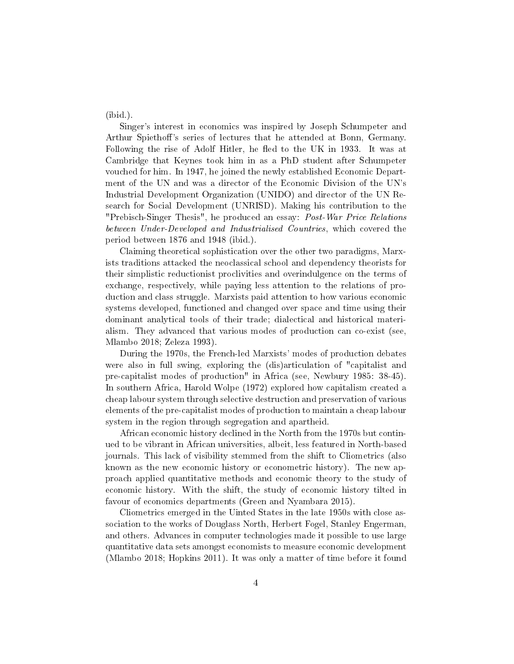(ibid.).

Singer's interest in economics was inspired by Joseph Schumpeter and Arthur Spiethoff's series of lectures that he attended at Bonn, Germany. Following the rise of Adolf Hitler, he fled to the UK in 1933. It was at Cambridge that Keynes took him in as a PhD student after Schumpeter vouched for him. In 1947, he joined the newly established Economic Department of the UN and was a director of the Economic Division of the UN's Industrial Development Organization (UNIDO) and director of the UN Research for Social Development (UNRISD). Making his contribution to the "Prebisch-Singer Thesis", he produced an essay: Post-War Price Relations between Under-Developed and Industrialised Countries, which covered the period between 1876 and 1948 (ibid.).

Claiming theoretical sophistication over the other two paradigms, Marxists traditions attacked the neoclassical school and dependency theorists for their simplistic reductionist proclivities and overindulgence on the terms of exchange, respectively, while paying less attention to the relations of production and class struggle. Marxists paid attention to how various economic systems developed, functioned and changed over space and time using their dominant analytical tools of their trade; dialectical and historical materialism. They advanced that various modes of production can co-exist (see, Mlambo 2018; Zeleza 1993).

During the 1970s, the French-led Marxists' modes of production debates were also in full swing, exploring the (dis)articulation of "capitalist and pre-capitalist modes of production" in Africa (see, Newbury 1985: 38-45). In southern Africa, Harold Wolpe (1972) explored how capitalism created a cheap labour system through selective destruction and preservation of various elements of the pre-capitalist modes of production to maintain a cheap labour system in the region through segregation and apartheid.

African economic history declined in the North from the 1970s but continued to be vibrant in African universities, albeit, less featured in North-based journals. This lack of visibility stemmed from the shift to Cliometrics (also known as the new economic history or econometric history). The new approach applied quantitative methods and economic theory to the study of economic history. With the shift, the study of economic history tilted in favour of economics departments (Green and Nyambara 2015).

Cliometrics emerged in the Uinted States in the late 1950s with close association to the works of Douglass North, Herbert Fogel, Stanley Engerman, and others. Advances in computer technologies made it possible to use large quantitative data sets amongst economists to measure economic development (Mlambo 2018; Hopkins 2011). It was only a matter of time before it found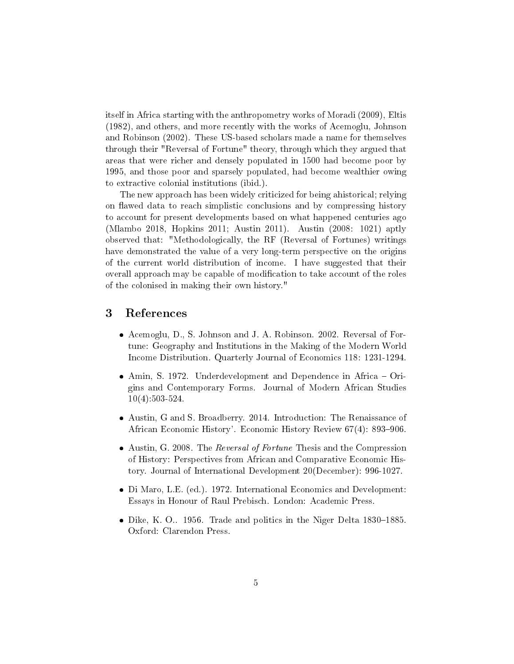itself in Africa starting with the anthropometry works of Moradi (2009), Eltis (1982), and others, and more recently with the works of Acemoglu, Johnson and Robinson (2002). These US-based scholars made a name for themselves through their "Reversal of Fortune" theory, through which they argued that areas that were richer and densely populated in 1500 had become poor by 1995, and those poor and sparsely populated, had become wealthier owing to extractive colonial institutions (ibid.).

The new approach has been widely criticized for being ahistorical; relying on flawed data to reach simplistic conclusions and by compressing history to account for present developments based on what happened centuries ago (Mlambo 2018, Hopkins 2011; Austin 2011). Austin (2008: 1021) aptly observed that: "Methodologically, the RF (Reversal of Fortunes) writings have demonstrated the value of a very long-term perspective on the origins of the current world distribution of income. I have suggested that their overall approach may be capable of modication to take account of the roles of the colonised in making their own history."

### <span id="page-4-0"></span>3 References

- Acemoglu, D., S. Johnson and J. A. Robinson. 2002. Reversal of Fortune: Geography and Institutions in the Making of the Modern World Income Distribution. Quarterly Journal of Economics 118: 1231-1294.
- Amin, S. 1972. Underdevelopment and Dependence in Africa Origins and Contemporary Forms. Journal of Modern African Studies 10(4):503-524.
- Austin, G and S. Broadberry. 2014. Introduction: The Renaissance of African Economic History'. Economic History Review 67(4): 893-906.
- Austin, G. 2008. The Reversal of Fortune Thesis and the Compression of History: Perspectives from African and Comparative Economic History. Journal of International Development 20(December): 996-1027.
- Di Maro, L.E. (ed.). 1972. International Economics and Development: Essays in Honour of Raul Prebisch. London: Academic Press.
- $\bullet$  Dike, K. O.. 1956. Trade and politics in the Niger Delta 1830–1885. Oxford: Clarendon Press.